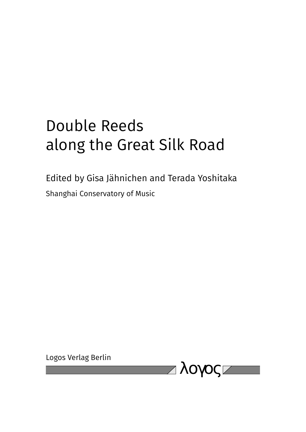# Double Reeds along the Great Silk Road

Edited by Gisa Jähnichen and Terada Yoshitaka Shanghai Conservatory of Music

Logos Verlag Berlin

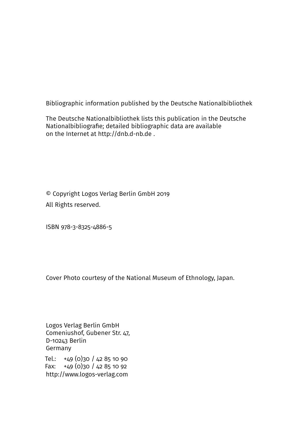Bibliographic information published by the Deutsche Nationalbibliothek

The Deutsche Nationalbibliothek lists this publication in the Deutsche Nationalbibliografie; detailed bibliographic data are available on the Internet at http://dnb.d-nb.de .

© Copyright Logos Verlag Berlin GmbH 2019 All Rights reserved.

ISBN 978-3-8325-4886-5

Cover Photo courtesy of the National Museum of Ethnology, Japan.

Logos Verlag Berlin GmbH Comeniushof, Gubener Str. 47, D-10243 Berlin Germany

Tel.: +49 (0)30 / 42 85 10 90 Fax:  $+49(0)30/42851092$ http://www.logos-verlag.com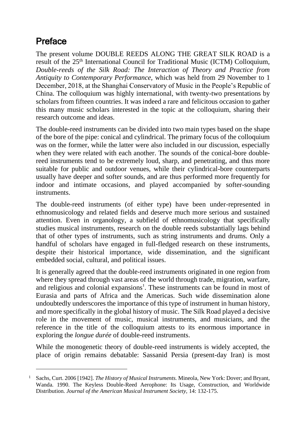## Preface

The present volume DOUBLE REEDS ALONG THE GREAT SILK ROAD is a result of the 25<sup>th</sup> International Council for Traditional Music (ICTM) Colloquium, *Double-reeds of the Silk Road: The Interaction of Theory and Practice from Antiquity to Contemporary Performance,* which was held from 29 November to 1 December, 2018, at the Shanghai Conservatory of Music in the People's Republic of China. The colloquium was highly international, with twenty-two presentations by scholars from fifteen countries. It was indeed a rare and felicitous occasion to gather this many music scholars interested in the topic at the colloquium, sharing their research outcome and ideas.

The double-reed instruments can be divided into two main types based on the shape of the bore of the pipe: conical and cylindrical. The primary focus of the colloquium was on the former, while the latter were also included in our discussion, especially when they were related with each another. The sounds of the conical-bore doublereed instruments tend to be extremely loud, sharp, and penetrating, and thus more suitable for public and outdoor venues, while their cylindrical-bore counterparts usually have deeper and softer sounds, and are thus performed more frequently for indoor and intimate occasions, and played accompanied by softer-sounding instruments.

The double-reed instruments (of either type) have been under-represented in ethnomusicology and related fields and deserve much more serious and sustained attention. Even in organology, a subfield of ethnomusicology that specifically studies musical instruments, research on the double reeds substantially lags behind that of other types of instruments, such as string instruments and drums. Only a handful of scholars have engaged in full-fledged research on these instruments, despite their historical importance, wide dissemination, and the significant embedded social, cultural, and political issues.

It is generally agreed that the double-reed instruments originated in one region from where they spread through vast areas of the world through trade, migration, warfare, and religious and colonial expansions<sup>1</sup>. These instruments can be found in most of Eurasia and parts of Africa and the Americas. Such wide dissemination alone undoubtedly underscores the importance of this type of instrument in human history, and more specifically in the global history of music. The Silk Road played a decisive role in the movement of music, musical instruments, and musicians, and the reference in the title of the colloquium attests to its enormous importance in exploring the *longue durée* of double-reed instruments.

While the monogenetic theory of double-reed instruments is widely accepted, the place of origin remains debatable: Sassanid Persia (present-day Iran) is most

<sup>1</sup> Sachs, Curt. 2006 [1942]. *The History of Musical Instruments.* Mineola, New York: Dover; and Bryant, Wanda. 1990. The Keyless Double-Reed Aerophone: Its Usage, Construction, and Worldwide Distribution. *Journal of the American Musical Instrument Society,* 14: 132-175.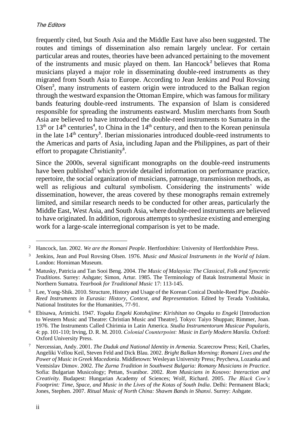frequently cited, but South Asia and the Middle East have also been suggested. The routes and timings of dissemination also remain largely unclear. For certain particular areas and routes, theories have been advanced pertaining to the movement of the instruments and music played on them. Ian Hancock<sup>2</sup> believes that Roma musicians played a major role in disseminating double-reed instruments as they migrated from South Asia to Europe. According to Jean Jenkins and Poul Rovsing Olsen<sup>3</sup>, many instruments of eastern origin were introduced to the Balkan region through the westward expansion the Ottoman Empire, which was famous for military bands featuring double-reed instruments. The expansion of Islam is considered responsible for spreading the instruments eastward. Muslim merchants from South Asia are believed to have introduced the double-reed instruments to Sumatra in the  $13<sup>th</sup>$  or  $14<sup>th</sup>$  centuries<sup>4</sup>, to China in the  $14<sup>th</sup>$  century, and then to the Korean peninsula in the late  $14<sup>th</sup>$  century<sup>5</sup>. Iberian missionaries introduced double-reed instruments to the Americas and parts of Asia, including Japan and the Philippines, as part of their effort to propagate Christianity<sup>6</sup>.

Since the 2000s, several significant monographs on the double-reed instruments have been published<sup>7</sup> which provide detailed information on performance practice, repertoire, the social organization of musicians, patronage, transmission methods, as well as religious and cultural symbolism. Considering the instruments' wide dissemination, however, the areas covered by these monographs remain extremely limited, and similar research needs to be conducted for other areas, particularly the Middle East, West Asia, and South Asia, where double-reed instruments are believed to have originated. In addition, rigorous attempts to synthesize existing and emerging work for a large-scale interregional comparison is yet to be made.

<sup>2</sup> Hancock, Ian. 2002. *We are the Romani People*. Hertfordshire: University of Hertfordshire Press.

<sup>3</sup> Jenkins, Jean and Poul Rovsing Olsen. 1976. *Music and Musical Instruments in the World of Islam*. London: Horniman Museum.

<sup>4</sup> Matusky, Patricia and Tan Sooi Beng. 2004. *The Music of Malaysia: The Classical, Folk and Syncretic Traditions*. Surrey: Ashgate; Simon, Artur. 1985. The Terminology of Batak Instrumental Music in Northern Sumatra. *Yearbook for Traditional Music* 17: 113-145.

<sup>5</sup> Lee, Yong-Shik. 2010. Structure, History and Usage of the Korean Conical Double-Reed Pipe. *Double-Reed Instruments in Eurasia: History, Context, and Representation*. Edited by Terada Yoshitaka, National Institutes for the Humanities, 77-91.

<sup>6</sup> Ebisawa, Arimichi. 1947. *Yogaku Engeki Kotohajime: Kirishitan no Ongaku to Engeki* [Introduction to Western Music and Theatre: Christian Music and Theatre]. Tokyo: Taiyo Shuppan; Rimmer, Joan. 1976. The Instruments Called Chirimia in Latin America. *Studia Instrumentorum Musicae Popularis,* 4: pp. 101-110; Irving, D. R. M. 2010. *Colonial Counterpoint: Music in Early Modern Manila*. Oxford: Oxford University Press.

<sup>7</sup> Nercessian, Andy. 2001. *The Duduk and National Identity in Armenia*. Scarecrow Press; Keil, Charles, Angeliki Vellou Keil, Steven Feld and Dick Blau. 2002. *Bright Balkan Morning: Romani Lives and the Power of Music in Greek Macedonia*. Middletown: Wesleyan University Press; Peycheva, Lozanka and Ventsislav Dimov. 2002. *The Zurna Tradition in Southwest Bulgaria: Romany Musicians in Practice*. Sofia: Bulgarian Musicology; Pettan, Svanibor. 2002. *Rom Musicians in Kosovo: Interaction and Creativity.* Budapest: Hungarian Academy of Sciences; Wolf, Richard. 2005. *The Black Cow's Footprint: Time, Space, and Music in the Lives of the Kotas of South India*. Delhi: Permanent Black; Jones, Stephen. 2007. *Ritual Music of North China: Shawm Bands in Shanxi*. Surrey: Ashgate.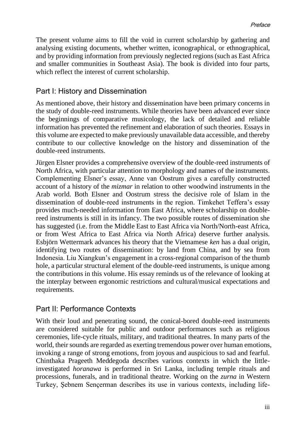The present volume aims to fill the void in current scholarship by gathering and analysing existing documents, whether written, iconographical, or ethnographical, and by providing information from previously neglected regions (such as East Africa and smaller communities in Southeast Asia). The book is divided into four parts, which reflect the interest of current scholarship.

#### Part I: History and Dissemination

As mentioned above, their history and dissemination have been primary concerns in the study of double-reed instruments. While theories have been advanced ever since the beginnings of comparative musicology, the lack of detailed and reliable information has prevented the refinement and elaboration of such theories. Essays in this volume are expected to make previously unavailable data accessible, and thereby contribute to our collective knowledge on the history and dissemination of the double-reed instruments.

Jürgen Elsner provides a comprehensive overview of the double-reed instruments of North Africa, with particular attention to morphology and names of the instruments. Complementing Elsner's essay, Anne van Oostrum gives a carefully constructed account of a history of the *mizmar* in relation to other woodwind instruments in the Arab world. Both Elsner and Oostrum stress the decisive role of Islam in the dissemination of double-reed instruments in the region. Timkehet Teffera's essay provides much-needed information from East Africa, where scholarship on doublereed instruments is still in its infancy. The two possible routes of dissemination she has suggested (i.e. from the Middle East to East Africa via North/North-east Africa, or from West Africa to East Africa via North Africa) deserve further analysis. Esbjörn Wettermark advances his theory that the Vietnamese *ken* has a dual origin, identifying two routes of dissemination: by land from China, and by sea from Indonesia. Liu Xiangkun's engagement in a cross-regional comparison of the thumb hole, a particular structural element of the double-reed instruments, is unique among the contributions in this volume. His essay reminds us of the relevance of looking at the interplay between ergonomic restrictions and cultural/musical expectations and requirements.

#### Part II: Performance Contexts

With their loud and penetrating sound, the conical-bored double-reed instruments are considered suitable for public and outdoor performances such as religious ceremonies, life-cycle rituals, military, and traditional theatres. In many parts of the world, their sounds are regarded as exerting tremendous power over human emotions, invoking a range of strong emotions, from joyous and auspicious to sad and fearful. Chinthaka Prageeth Meddegoda describes various contexts in which the littleinvestigated *horanawa* is performed in Sri Lanka, including temple rituals and processions, funerals, and in traditional theatre. Working on the *zurna* in Western Turkey, Şebnem Sençerman describes its use in various contexts, including life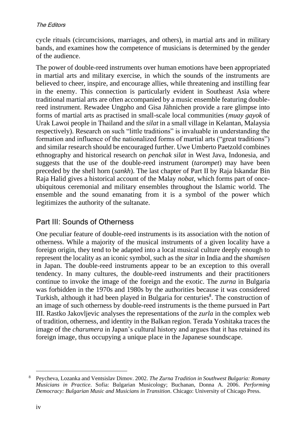cycle rituals (circumcisions, marriages, and others), in martial arts and in military bands, and examines how the competence of musicians is determined by the gender of the audience.

The power of double-reed instruments over human emotions have been appropriated in martial arts and military exercise, in which the sounds of the instruments are believed to cheer, inspire, and encourage allies, while threatening and instilling fear in the enemy. This connection is particularly evident in Southeast Asia where traditional martial arts are often accompanied by a music ensemble featuring doublereed instrument. Rewadee Ungpho and Gisa Jähnichen provide a rare glimpse into forms of martial arts as practised in small-scale local communities (*muay gayok* of Urak Lawoi people in Thailand and the *silat* in a small village in Kelantan, Malaysia respectively). Research on such "little traditions" is invaluable in understanding the formation and influence of the nationalized forms of martial arts ("great traditions") and similar research should be encouraged further. Uwe Umberto Paetzold combines ethnography and historical research on *penchak silat* in West Java, Indonesia, and suggests that the use of the double-reed instrument (*tarompet*) may have been preceded by the shell horn (*sankh*). The last chapter of Part II by Raja Iskandar Bin Raja Halid gives a historical account of the Malay *nobat,* which forms part of onceubiquitous ceremonial and military ensembles throughout the Islamic world. The ensemble and the sound emanating from it is a symbol of the power which legitimizes the authority of the sultanate.

#### Part III: Sounds of Otherness

One peculiar feature of double-reed instruments is its association with the notion of otherness. While a majority of the musical instruments of a given locality have a foreign origin, they tend to be adapted into a local musical culture deeply enough to represent the locality as an iconic symbol, such as the *sitar* in India and the *shamisen* in Japan. The double-reed instruments appear to be an exception to this overall tendency. In many cultures, the double-reed instruments and their practitioners continue to invoke the image of the foreign and the exotic. The *zurna* in Bulgaria was forbidden in the 1970s and 1980s by the authorities because it was considered Turkish, although it had been played in Bulgaria for centuries<sup>8</sup>. The construction of an image of such otherness by double-reed instruments is the theme pursued in Part III. Rastko Jakovljevic analyses the representations of the *zurla* in the complex web of tradition, otherness, and identity in the Balkan region. Terada Yoshitaka traces the image of the *charumera* in Japan's cultural history and argues that it has retained its foreign image, thus occupying a unique place in the Japanese soundscape.

<sup>8</sup> Peycheva, Lozanka and Ventsislav Dimov. 2002. *The Zurna Tradition in Southwest Bulgaria: Romany Musicians in Practice*. Sofia: Bulgarian Musicology; Buchanan, Donna A. 2006. *Performing Democracy: Bulgarian Music and Musicians in Transition*. Chicago: University of Chicago Press.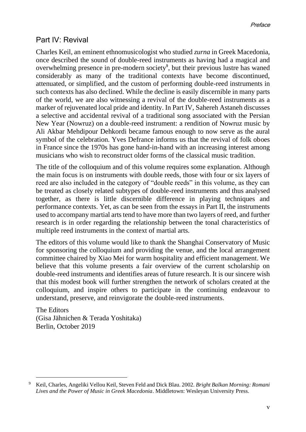### Part IV: Revival

Charles Keil, an eminent ethnomusicologist who studied *zurna* in Greek Macedonia, once described the sound of double-reed instruments as having had a magical and overwhelming presence in pre-modern society<sup>9</sup>, but their previous lustre has waned considerably as many of the traditional contexts have become discontinued, attenuated, or simplified, and the custom of performing double-reed instruments in such contexts has also declined. While the decline is easily discernible in many parts of the world, we are also witnessing a revival of the double-reed instruments as a marker of rejuvenated local pride and identity. In Part IV, Sahereh Astaneh discusses a selective and accidental revival of a traditional song associated with the Persian New Year (Nowruz) on a double-reed instrument: a rendition of Nowruz music by Ali Akbar Mehdipour Dehkordi became famous enough to now serve as the aural symbol of the celebration. Yves Defrance informs us that the revival of folk oboes in France since the 1970s has gone hand-in-hand with an increasing interest among musicians who wish to reconstruct older forms of the classical music tradition.

The title of the colloquium and of this volume requires some explanation. Although the main focus is on instruments with double reeds, those with four or six layers of reed are also included in the category of "double reeds" in this volume, as they can be treated as closely related subtypes of double-reed instruments and thus analysed together, as there is little discernible difference in playing techniques and performance contexts. Yet, as can be seen from the essays in Part II, the instruments used to accompany martial arts tend to have more than two layers of reed, and further research is in order regarding the relationship between the tonal characteristics of multiple reed instruments in the context of martial arts.

The editors of this volume would like to thank the Shanghai Conservatory of Music for sponsoring the colloquium and providing the venue, and the local arrangement committee chaired by Xiao Mei for warm hospitality and efficient management. We believe that this volume presents a fair overview of the current scholarship on double-reed instruments and identifies areas of future research. It is our sincere wish that this modest book will further strengthen the network of scholars created at the colloquium, and inspire others to participate in the continuing endeavour to understand, preserve, and reinvigorate the double-reed instruments.

The Editors (Gisa Jähnichen & Terada Yoshitaka) Berlin, October 2019

<sup>9</sup> Keil, Charles, Angeliki Vellou Keil, Steven Feld and Dick Blau. 2002. *Bright Balkan Morning: Romani Lives and the Power of Music in Greek Macedonia*. Middletown: Wesleyan University Press.